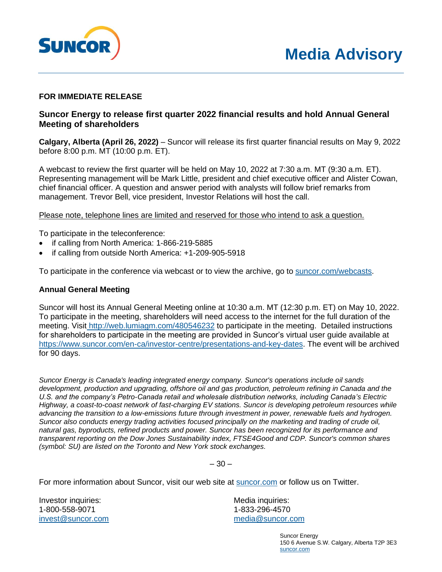

## **FOR IMMEDIATE RELEASE**

## **Suncor Energy to release first quarter 2022 financial results and hold Annual General Meeting of shareholders**

**Calgary, Alberta (April 26, 2022)** – Suncor will release its first quarter financial results on May 9, 2022 before 8:00 p.m. MT (10:00 p.m. ET).

A webcast to review the first quarter will be held on May 10, 2022 at 7:30 a.m. MT (9:30 a.m. ET). Representing management will be Mark Little, president and chief executive officer and Alister Cowan, chief financial officer. A question and answer period with analysts will follow brief remarks from management. Trevor Bell, vice president, Investor Relations will host the call.

Please note, telephone lines are limited and reserved for those who intend to ask a question.

To participate in the teleconference:

- if calling from North America: 1-866-219-5885
- if calling from outside North America: +1-209-905-5918

To participate in the conference via webcast or to view the archive, go to [suncor.com/webcasts.](http://www.suncor.com/webcasts)

## **Annual General Meeting**

Suncor will host its Annual General Meeting online at 10:30 a.m. MT (12:30 p.m. ET) on May 10, 2022. To participate in the meeting, shareholders will need access to the internet for the full duration of the meeting. Visit [http://web.lumiagm.com/480546232](https://web.lumiagm.com/#/480546232) to participate in the meeting. Detailed instructions for shareholders to participate in the meeting are provided in Suncor's virtual user guide available at [https://www.suncor.com/en-ca/investor-centre/presentations-and-key-dates.](https://www.suncor.com/en-ca/investor-centre/presentations-and-key-dates) The event will be archived for 90 days.

*Suncor Energy is Canada's leading integrated energy company. Suncor's operations include oil sands development, production and upgrading, offshore oil and gas production, petroleum refining in Canada and the U.S. and the company's Petro-Canada retail and wholesale distribution networks, including Canada's Electric Highway, a coast-to-coast network of fast-charging EV stations. Suncor is developing petroleum resources while advancing the transition to a low-emissions future through investment in power, renewable fuels and hydrogen. Suncor also conducts energy trading activities focused principally on the marketing and trading of crude oil, natural gas, byproducts, refined products and power. Suncor has been recognized for its performance and transparent reporting on the Dow Jones Sustainability index, FTSE4Good and CDP. Suncor's common shares (symbol: SU) are listed on the Toronto and New York stock exchanges.*

 $-30-$ 

For more information about Suncor, visit our web site at [suncor.com](http://www.suncor.com/) or follow us on Twitter.

Investor inquiries: 1-800-558-9071 [invest@suncor.com](mailto:invest@suncor.com) Media inquiries: 1-833-296-4570 [media@suncor.com](mailto:media@suncor.com)